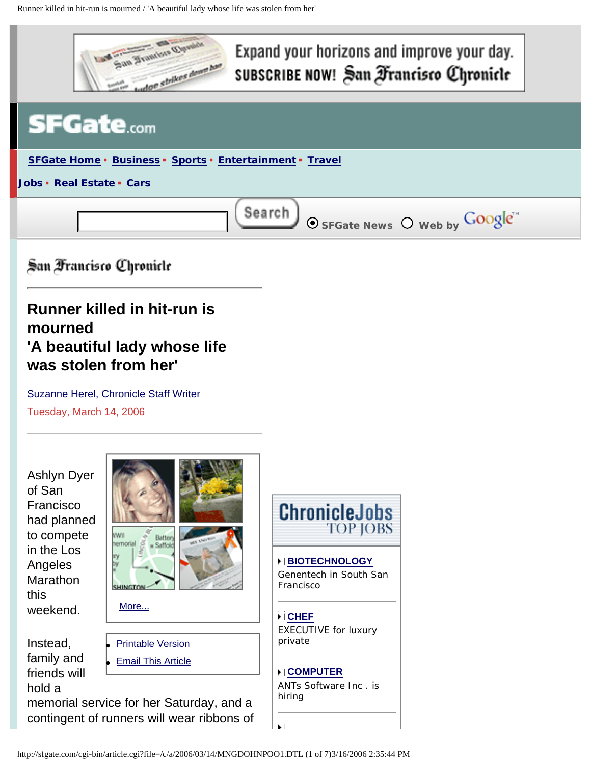

# Expand your horizons and improve your day. SUBSCRIBE NOW! San Francisco Chronicle



San Francisco Chronicle

# **Runner killed in hit-run is mourned 'A beautiful lady whose life was stolen from her'**

[Suzanne Herel, Chronicle Staff Writer](mailto:sherel@sfchronicle.com) Tuesday, March 14, 2006

Ashlyn Dyer of San Francisco had planned to compete in the Los Angeles Marathon this weekend.



Instead, family and friends will hold a



memorial service for her Saturday, and a contingent of runners will wear ribbons of



**[BIOTECHNOLOGY](http://sfgate.com/cgi-bin/adjacency/jason/details?ad=c4126f50)** Genentech in South San Francisco

**[CHEF](http://sfgate.com/cgi-bin/adjacency/jason/details?ad=d4126f50)** EXECUTIVE for luxury private

# **[COMPUTER](http://sfgate.com/cgi-bin/adjacency/jason/details?ad=e4126f50)**

ЪÎ

ANTs Software Inc . is hiring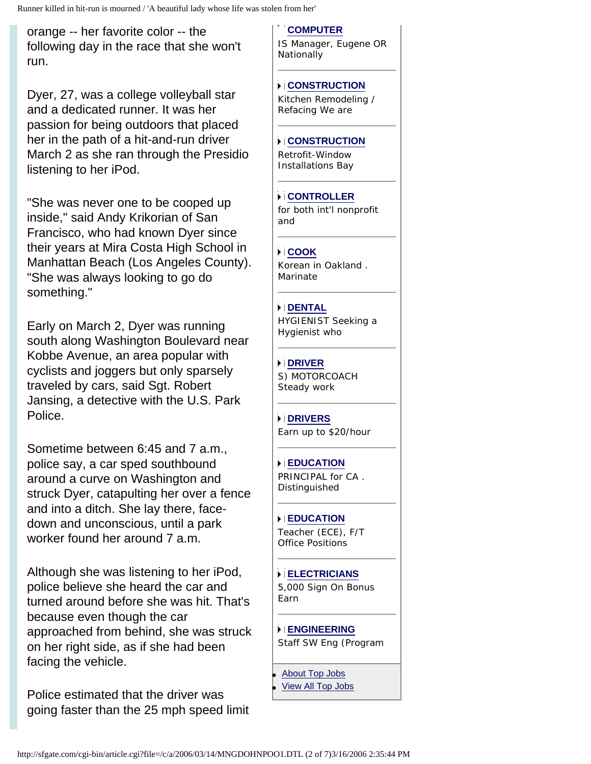Runner killed in hit-run is mourned / 'A beautiful lady whose life was stolen from her'

orange -- her favorite color -- the following day in the race that she won't run.

Dyer, 27, was a college volleyball star and a dedicated runner. It was her passion for being outdoors that placed her in the path of a hit-and-run driver March 2 as she ran through the Presidio listening to her iPod.

"She was never one to be cooped up inside," said Andy Krikorian of San Francisco, who had known Dyer since their years at Mira Costa High School in Manhattan Beach (Los Angeles County). "She was always looking to go do something."

Early on March 2, Dyer was running south along Washington Boulevard near Kobbe Avenue, an area popular with cyclists and joggers but only sparsely traveled by cars, said Sgt. Robert Jansing, a detective with the U.S. Park Police.

Sometime between 6:45 and 7 a.m., police say, a car sped southbound around a curve on Washington and struck Dyer, catapulting her over a fence and into a ditch. She lay there, facedown and unconscious, until a park worker found her around 7 a.m.

Although she was listening to her iPod, police believe she heard the car and turned around before she was hit. That's because even though the car approached from behind, she was struck on her right side, as if she had been facing the vehicle.

Police estimated that the driver was going faster than the 25 mph speed limit

#### **[COMPUTER](http://sfgate.com/cgi-bin/adjacency/jason/details?ad=f4126f50)**

IS Manager, Eugene OR Nationally

#### **[CONSTRUCTION](http://sfgate.com/cgi-bin/adjacency/jason/details?ad=05126f50)**

Kitchen Remodeling / Refacing We are

#### **[CONSTRUCTION](http://sfgate.com/cgi-bin/adjacency/jason/details?ad=15126f50)**

Retrofit-Window Installations Bay

### **[CONTROLLER](http://sfgate.com/cgi-bin/adjacency/jason/details?ad=76126f50)**

for both int'l nonprofit and

## **[COOK](http://sfgate.com/cgi-bin/adjacency/jason/details?ad=25126f50)**

Korean in Oakland . Marinate

### **[DENTAL](http://sfgate.com/cgi-bin/adjacency/jason/details?ad=35126f50)**

HYGIENIST Seeking a Hygienist who

#### **[DRIVER](http://sfgate.com/cgi-bin/adjacency/jason/details?ad=46126f50)**

S) MOTORCOACH Steady work

#### **[DRIVERS](http://sfgate.com/cgi-bin/adjacency/jason/details?ad=45126f50)**

Earn up to \$20/hour

#### **[EDUCATION](http://sfgate.com/cgi-bin/adjacency/jason/details?ad=55126f50)**

PRINCIPAL for CA . Distinguished

#### **[EDUCATION](http://sfgate.com/cgi-bin/adjacency/jason/details?ad=65126f50)**

Teacher (ECE), F/T Office Positions

#### **[ELECTRICIANS](http://sfgate.com/cgi-bin/adjacency/jason/details?ad=74126f50)**

5,000 Sign On Bonus Earn

#### **[ENGINEERING](http://sfgate.com/cgi-bin/adjacency/jason/details?ad=75126f50)** Staff SW Eng (Program

**[About Top Jobs](http://sfgate.com/templates/types/adjacency/about/)** 

**[View All Top Jobs](http://sfgate.com/cgi-bin/adjacency/jason/list)**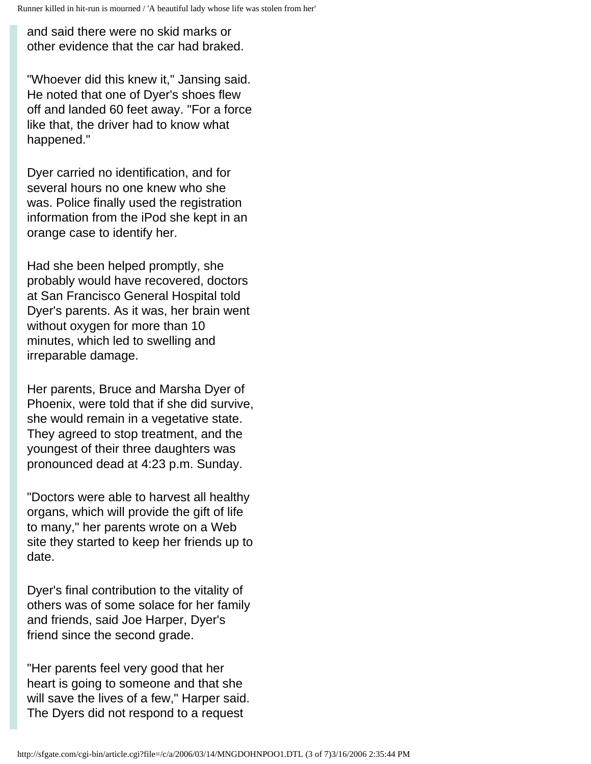and said there were no skid marks or other evidence that the car had braked.

"Whoever did this knew it," Jansing said. He noted that one of Dyer's shoes flew off and landed 60 feet away. "For a force like that, the driver had to know what happened."

Dyer carried no identification, and for several hours no one knew who she was. Police finally used the registration information from the iPod she kept in an orange case to identify her.

Had she been helped promptly, she probably would have recovered, doctors at San Francisco General Hospital told Dyer's parents. As it was, her brain went without oxygen for more than 10 minutes, which led to swelling and irreparable damage.

Her parents, Bruce and Marsha Dyer of Phoenix, were told that if she did survive, she would remain in a vegetative state. They agreed to stop treatment, and the youngest of their three daughters was pronounced dead at 4:23 p.m. Sunday.

"Doctors were able to harvest all healthy organs, which will provide the gift of life to many," her parents wrote on a Web site they started to keep her friends up to date.

Dyer's final contribution to the vitality of others was of some solace for her family and friends, said Joe Harper, Dyer's friend since the second grade.

"Her parents feel very good that her heart is going to someone and that she will save the lives of a few," Harper said. The Dyers did not respond to a request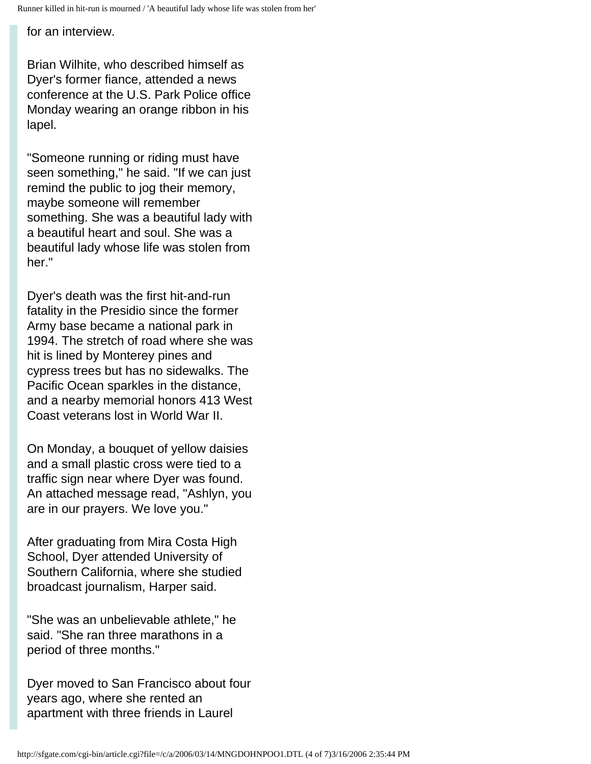for an interview.

Brian Wilhite, who described himself as Dyer's former fiance, attended a news conference at the U.S. Park Police office Monday wearing an orange ribbon in his lapel.

"Someone running or riding must have seen something," he said. "If we can just remind the public to jog their memory, maybe someone will remember something. She was a beautiful lady with a beautiful heart and soul. She was a beautiful lady whose life was stolen from her."

Dyer's death was the first hit-and-run fatality in the Presidio since the former Army base became a national park in 1994. The stretch of road where she was hit is lined by Monterey pines and cypress trees but has no sidewalks. The Pacific Ocean sparkles in the distance, and a nearby memorial honors 413 West Coast veterans lost in World War II.

On Monday, a bouquet of yellow daisies and a small plastic cross were tied to a traffic sign near where Dyer was found. An attached message read, "Ashlyn, you are in our prayers. We love you."

After graduating from Mira Costa High School, Dyer attended University of Southern California, where she studied broadcast journalism, Harper said.

"She was an unbelievable athlete," he said. "She ran three marathons in a period of three months."

Dyer moved to San Francisco about four years ago, where she rented an apartment with three friends in Laurel